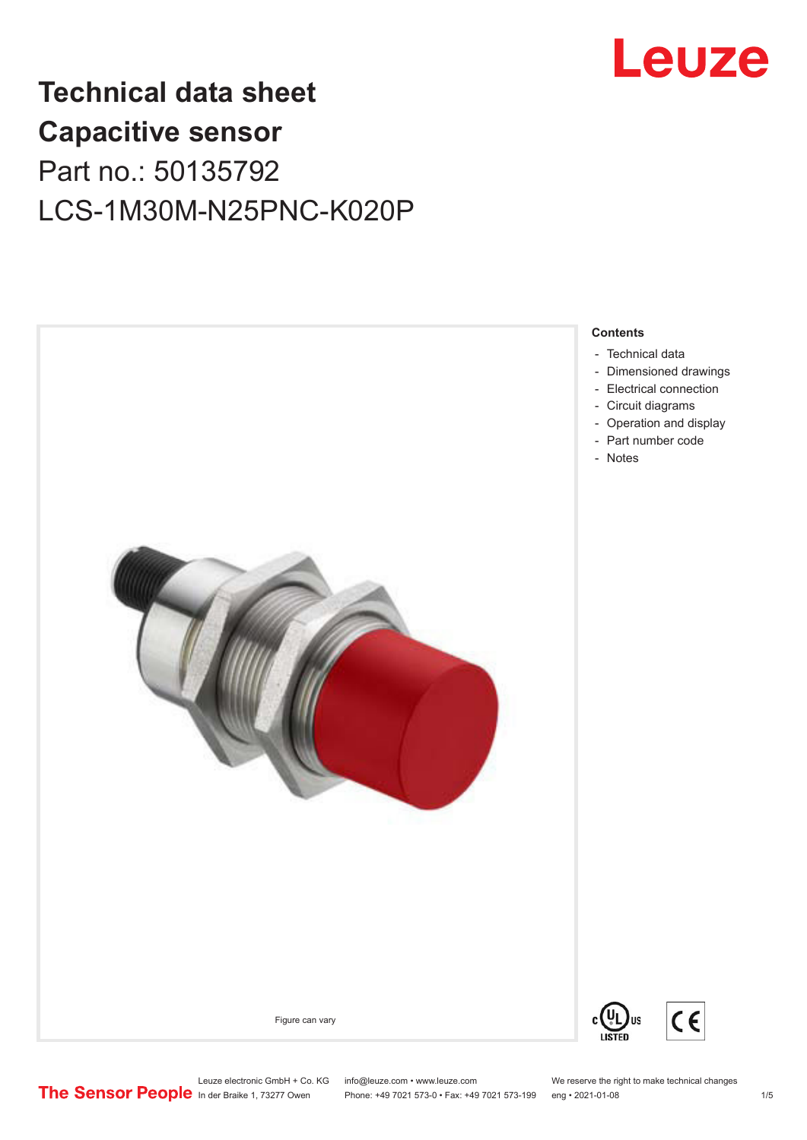

## **Technical data sheet Capacitive sensor** Part no.: 50135792 LCS-1M30M-N25PNC-K020P



Leuze electronic GmbH + Co. KG info@leuze.com • www.leuze.com We reserve the right to make technical changes<br> **The Sensor People** in der Braike 1, 73277 Owen Phone: +49 7021 573-0 • Fax: +49 7021 573-199 eng • 2021-01-08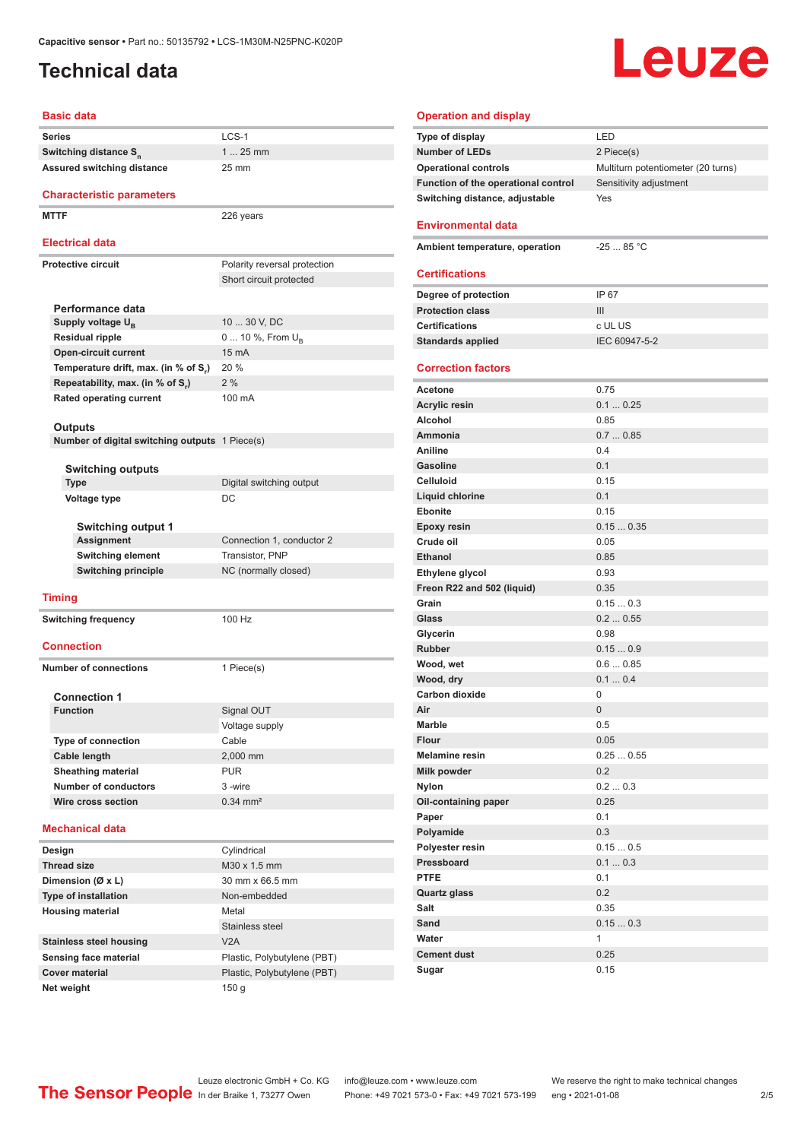#### <span id="page-1-0"></span>**Technical data**

# Leuze

#### **Basic data**

| <b>Series</b>                                  | LCS-1                          | Type of display                     | LED              |
|------------------------------------------------|--------------------------------|-------------------------------------|------------------|
| Switching distance S <sub>n</sub>              | $125$ mm                       | <b>Number of LEDs</b>               | 2 Pie            |
| Assured switching distance                     | 25 mm                          | <b>Operational controls</b>         | Multi            |
|                                                |                                | Function of the operational control | Sens             |
| <b>Characteristic parameters</b>               |                                | Switching distance, adjustable      | Yes              |
| <b>MTTF</b>                                    | 226 years                      | <b>Environmental data</b>           |                  |
| <b>Electrical data</b>                         |                                | Ambient temperature, operation      | $-25$ .          |
| <b>Protective circuit</b>                      | Polarity reversal protection   |                                     |                  |
|                                                | Short circuit protected        | <b>Certifications</b>               |                  |
|                                                |                                | Degree of protection                | IP 67            |
| Performance data                               |                                | <b>Protection class</b>             | III              |
| Supply voltage $U_{\rm B}$                     | 10  30 V, DC                   | <b>Certifications</b>               | c UL             |
| <b>Residual ripple</b>                         | 0  10 %, From $U_{\rm B}$      | <b>Standards applied</b>            | IEC <sup>(</sup> |
| <b>Open-circuit current</b>                    | 15 mA                          |                                     |                  |
| Temperature drift, max. (in % of S.)           | 20 %                           | <b>Correction factors</b>           |                  |
| Repeatability, max. (in % of S.)               | 2%                             | Acetone                             | 0.75             |
| Rated operating current                        | 100 mA                         | <b>Acrylic resin</b>                | 0.1              |
|                                                |                                | Alcohol                             | 0.85             |
| <b>Outputs</b>                                 |                                | Ammonia                             | 0.7              |
| Number of digital switching outputs 1 Piece(s) |                                | Aniline                             | $0.4^{\circ}$    |
|                                                |                                | <b>Gasoline</b>                     | 0.1              |
| <b>Switching outputs</b>                       |                                | <b>Celluloid</b>                    | 0.15             |
| Type                                           | Digital switching output<br>DC | Liquid chlorine                     | 0.1              |
| Voltage type                                   |                                | <b>Ebonite</b>                      | 0.15             |
| <b>Switching output 1</b>                      |                                | <b>Epoxy resin</b>                  | 0.15             |
| <b>Assignment</b>                              | Connection 1, conductor 2      | Crude oil                           | 0.05             |
| <b>Switching element</b>                       | Transistor, PNP                | <b>Ethanol</b>                      | 0.85             |
| <b>Switching principle</b>                     | NC (normally closed)           | Ethylene glycol                     | 0.93             |
|                                                |                                | Freon R22 and 502 (liquid)          | 0.35             |
| <b>Timing</b>                                  |                                | Grain                               | 0.15             |
| <b>Switching frequency</b>                     | 100 Hz                         | Glass                               | $0.2$ .          |
|                                                |                                | Glycerin                            | 0.98             |
| <b>Connection</b>                              |                                | <b>Rubber</b>                       | 0.15             |
|                                                |                                | Wood, wet                           | $0.6$ .          |
| <b>Number of connections</b>                   | 1 Piece(s)                     | Wood, dry                           | 0.1              |
| <b>Connection 1</b>                            |                                | Carbon dioxide                      | 0                |
| <b>Function</b>                                | Signal OUT                     | Air                                 | $\mathbf{0}$     |
|                                                | Voltage supply                 | Marble                              | 0.5              |
| <b>Type of connection</b>                      | Cable                          | Flour                               | 0.05             |
| <b>Cable length</b>                            | 2,000 mm                       | <b>Melamine resin</b>               | 0.25             |
| <b>Sheathing material</b>                      | <b>PUR</b>                     | Milk powder                         | 0.2              |
| Number of conductors                           | 3-wire                         | <b>Nylon</b>                        | 0.2              |
| Wire cross section                             | $0.34$ mm <sup>2</sup>         | Oil-containing paper                | 0.25             |
|                                                |                                | Paper                               | 0.1              |
| <b>Mechanical data</b>                         |                                | Polyamide                           | 0.3              |
| Design                                         | Cylindrical                    | Polyester resin                     | 0.15             |
| <b>Thread size</b>                             | M30 x 1.5 mm                   | Pressboard                          | 0.1              |
| Dimension (Ø x L)                              | 30 mm x 66.5 mm                | <b>PTFE</b>                         | 0.1              |
| <b>Type of installation</b>                    | Non-embedded                   | <b>Quartz glass</b>                 | 0.2              |
| <b>Housing material</b>                        | Metal                          | Salt                                | 0.35             |
|                                                | Stainless steel                | Sand                                | 0.15             |
| <b>Stainless steel housing</b>                 | V2A                            | Water                               | $\mathbf{1}$     |
| Sensing face material                          | Plastic, Polybutylene (PBT)    | <b>Cement dust</b>                  | 0.25             |
| <b>Cover material</b>                          | Plastic, Polybutylene (PBT)    | Sugar                               | 0.15             |
| Net weight                                     | 150 <sub>g</sub>               |                                     |                  |
|                                                |                                |                                     |                  |

| <b>Operation and display</b>        |                                    |
|-------------------------------------|------------------------------------|
| Type of display                     | LED                                |
| <b>Number of LEDs</b>               | 2 Piece(s)                         |
| <b>Operational controls</b>         | Multiturn potentiometer (20 turns) |
| Function of the operational control | Sensitivity adjustment             |
| Switching distance, adjustable      | Yes                                |
| <b>Environmental data</b>           |                                    |
| Ambient temperature, operation      | $-2585 °C$                         |
|                                     |                                    |
| <b>Certifications</b>               |                                    |
| Degree of protection                | IP 67                              |
| <b>Protection class</b>             | Ш                                  |
| <b>Certifications</b>               | c UL US                            |
| <b>Standards applied</b>            | IEC 60947-5-2                      |
|                                     |                                    |
| <b>Correction factors</b>           |                                    |
| <b>Acetone</b>                      | 0.75                               |
| <b>Acrylic resin</b>                | 0.10.25                            |
| Alcohol                             | 0.85                               |
| Ammonia                             | 0.70.85                            |
| Aniline                             | 0.4                                |
| <b>Gasoline</b>                     | 0.1                                |
| <b>Celluloid</b>                    | 0.15                               |
| Liquid chlorine                     | 0.1                                |
| <b>Ebonite</b>                      | 0.15                               |
| <b>Epoxy resin</b>                  | 0.150.35                           |
| Crude oil                           | 0.05                               |
| <b>Ethanol</b>                      | 0.85                               |
| Ethylene glycol                     | 0.93                               |
| Freon R22 and 502 (liquid)          | 0.35                               |
| Grain                               | 0.150.3                            |
| Glass                               | 0.20.55                            |
| Glycerin                            | 0.98                               |
| <b>Rubber</b>                       | 0.150.9                            |
| Wood, wet                           | 0.60.85                            |
| Wood, dry                           | 0.10.4                             |
| <b>Carbon dioxide</b>               | 0                                  |
| Air                                 | $\Omega$                           |
| Marble                              | 0.5                                |
| Flour                               | 0.05                               |
| <b>Melamine resin</b>               | 0.250.55                           |
| Milk powder                         | 0.2                                |
| Nylon                               | 0.20.3                             |
| Oil-containing paper                | 0.25                               |
| Paper                               | 0.1                                |
| Polyamide                           | 0.3                                |
| Polyester resin                     | 0.150.5                            |
| Pressboard                          | 0.10.3                             |
| <b>PTFE</b>                         | 0.1                                |
| <b>Quartz glass</b>                 | 0.2                                |
| Salt                                | 0.35                               |
| Sand                                | 0.150.3                            |
| Water                               | 1                                  |
| <b>Cement dust</b>                  | 0.25                               |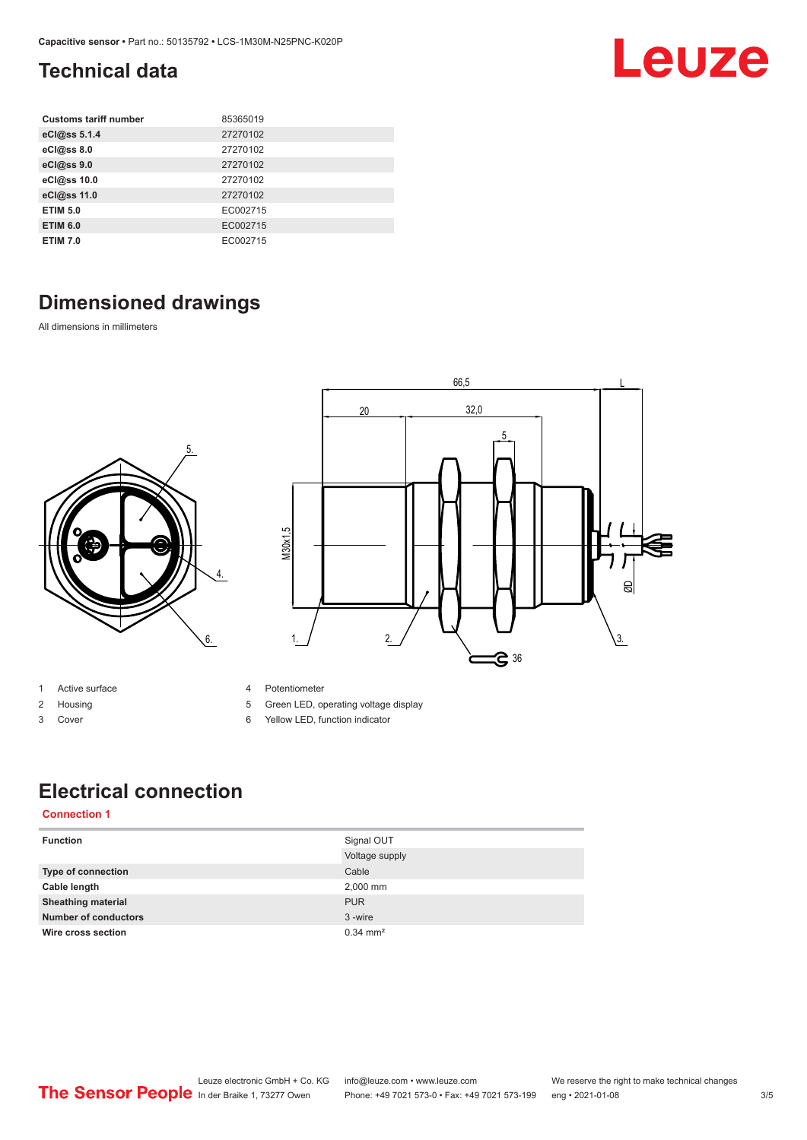### <span id="page-2-0"></span>**Technical data**

| <b>Customs tariff number</b> | 85365019 |
|------------------------------|----------|
| eCl@ss 5.1.4                 | 27270102 |
| eCl@ss 8.0                   | 27270102 |
| eCl@ss 9.0                   | 27270102 |
| eCl@ss 10.0                  | 27270102 |
| eCl@ss 11.0                  | 27270102 |
| <b>ETIM 5.0</b>              | EC002715 |
| <b>ETIM 6.0</b>              | EC002715 |
| <b>ETIM 7.0</b>              | EC002715 |

## **Dimensioned drawings**

All dimensions in millimeters





- 1 Active surface
- 2 Housing
- 3 Cover
- 4 Potentiometer
- 5 Green LED, operating voltage display
- 6 Yellow LED, function indicator

### **Electrical connection**

#### **Connection 1**

| <b>Function</b>             | Signal OUT            |
|-----------------------------|-----------------------|
|                             | Voltage supply        |
| <b>Type of connection</b>   | Cable                 |
| Cable length                | 2,000 mm              |
| <b>Sheathing material</b>   | <b>PUR</b>            |
| <b>Number of conductors</b> | 3-wire                |
| Wire cross section          | $0.34 \, \text{mm}^2$ |

Leuze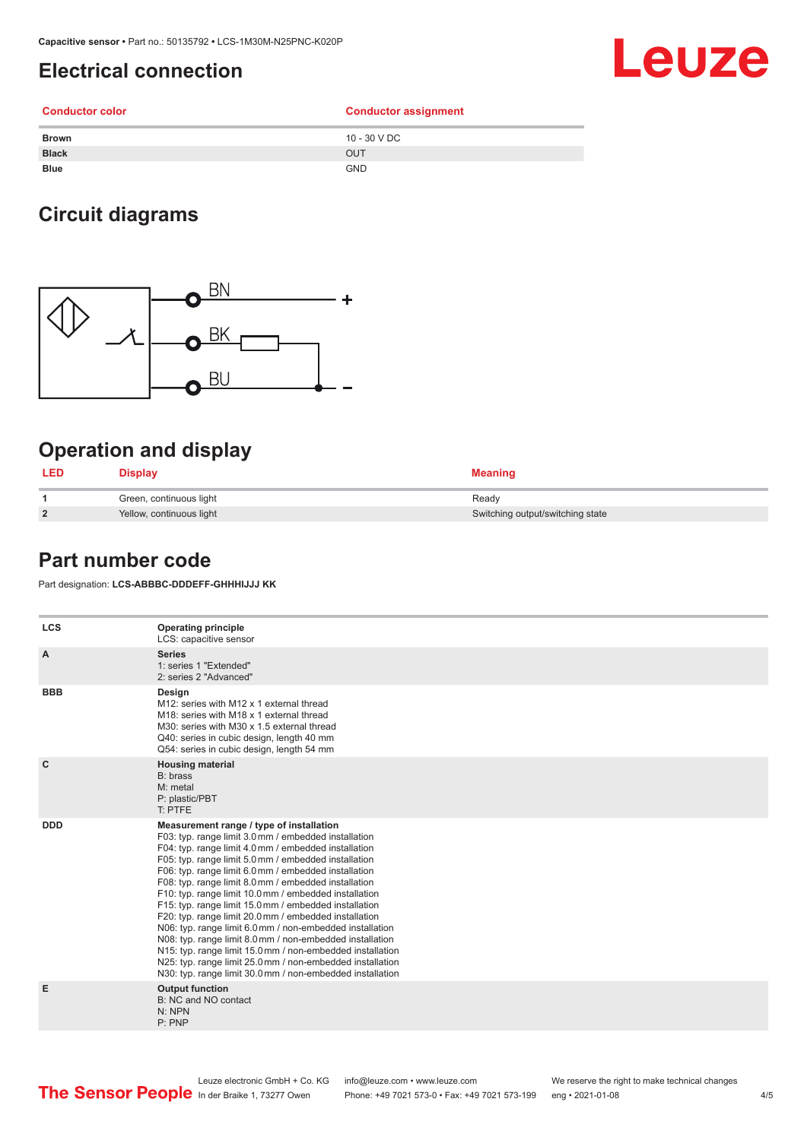#### <span id="page-3-0"></span>**Electrical connection**

## Leuze

#### **Conductor color Conductor assignment Brown** 10 - 30 V DC **Black** OUT **Blue** GND

### **Circuit diagrams**



#### **Operation and display**

| <b>LED</b>     | <b>Display</b>           | <b>Meaning</b>                   |
|----------------|--------------------------|----------------------------------|
|                | Green, continuous light  | Ready                            |
| $\overline{2}$ | Yellow, continuous light | Switching output/switching state |

#### **Part number code**

Part designation: **LCS-ABBBC-DDDEFF-GHHHIJJJ KK**

| <b>LCS</b>   | <b>Operating principle</b><br>LCS: capacitive sensor                                                                                                                                                                                                                                                                                                                                                                                                                                                                                                                                                                                                                                                                                                                                                                       |
|--------------|----------------------------------------------------------------------------------------------------------------------------------------------------------------------------------------------------------------------------------------------------------------------------------------------------------------------------------------------------------------------------------------------------------------------------------------------------------------------------------------------------------------------------------------------------------------------------------------------------------------------------------------------------------------------------------------------------------------------------------------------------------------------------------------------------------------------------|
| A            | <b>Series</b><br>1: series 1 "Extended"<br>2: series 2 "Advanced"                                                                                                                                                                                                                                                                                                                                                                                                                                                                                                                                                                                                                                                                                                                                                          |
| <b>BBB</b>   | Design<br>M12: series with M12 x 1 external thread<br>M18: series with M18 x 1 external thread<br>M30: series with M30 x 1.5 external thread<br>Q40: series in cubic design, length 40 mm<br>Q54: series in cubic design, length 54 mm                                                                                                                                                                                                                                                                                                                                                                                                                                                                                                                                                                                     |
| $\mathbf{C}$ | <b>Housing material</b><br>B: brass<br>M: metal<br>P: plastic/PBT<br>T: PTFE                                                                                                                                                                                                                                                                                                                                                                                                                                                                                                                                                                                                                                                                                                                                               |
| <b>DDD</b>   | Measurement range / type of installation<br>F03: typ. range limit 3.0 mm / embedded installation<br>F04: typ. range limit 4.0 mm / embedded installation<br>F05: typ. range limit 5.0 mm / embedded installation<br>F06: typ. range limit 6.0 mm / embedded installation<br>F08: typ. range limit 8.0 mm / embedded installation<br>F10: typ. range limit 10.0 mm / embedded installation<br>F15: typ. range limit 15.0 mm / embedded installation<br>F20: typ. range limit 20.0 mm / embedded installation<br>N06: typ. range limit 6.0 mm / non-embedded installation<br>N08: typ. range limit 8.0 mm / non-embedded installation<br>N15: typ. range limit 15.0 mm / non-embedded installation<br>N25: typ. range limit 25.0 mm / non-embedded installation<br>N30: typ. range limit 30.0 mm / non-embedded installation |
| Е            | <b>Output function</b><br>B: NC and NO contact<br>N: NPN<br>P: PNP                                                                                                                                                                                                                                                                                                                                                                                                                                                                                                                                                                                                                                                                                                                                                         |